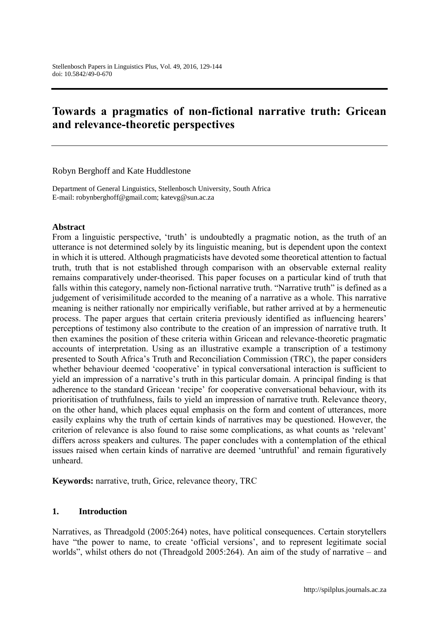# **Towards a pragmatics of non-fictional narrative truth: Gricean and relevance-theoretic perspectives**

Robyn Berghoff and Kate Huddlestone

Department of General Linguistics, Stellenbosch University, South Africa E-mail: robynberghoff@gmail.com; katevg@sun.ac.za

#### **Abstract**

From a linguistic perspective, 'truth' is undoubtedly a pragmatic notion, as the truth of an utterance is not determined solely by its linguistic meaning, but is dependent upon the context in which it is uttered. Although pragmaticists have devoted some theoretical attention to factual truth, truth that is not established through comparison with an observable external reality remains comparatively under-theorised. This paper focuses on a particular kind of truth that falls within this category, namely non-fictional narrative truth. "Narrative truth" is defined as a judgement of verisimilitude accorded to the meaning of a narrative as a whole. This narrative meaning is neither rationally nor empirically verifiable, but rather arrived at by a hermeneutic process. The paper argues that certain criteria previously identified as influencing hearers' perceptions of testimony also contribute to the creation of an impression of narrative truth. It then examines the position of these criteria within Gricean and relevance-theoretic pragmatic accounts of interpretation. Using as an illustrative example a transcription of a testimony presented to South Africa's Truth and Reconciliation Commission (TRC), the paper considers whether behaviour deemed 'cooperative' in typical conversational interaction is sufficient to yield an impression of a narrative's truth in this particular domain. A principal finding is that adherence to the standard Gricean 'recipe' for cooperative conversational behaviour, with its prioritisation of truthfulness, fails to yield an impression of narrative truth. Relevance theory, on the other hand, which places equal emphasis on the form and content of utterances, more easily explains why the truth of certain kinds of narratives may be questioned. However, the criterion of relevance is also found to raise some complications, as what counts as 'relevant' differs across speakers and cultures. The paper concludes with a contemplation of the ethical issues raised when certain kinds of narrative are deemed 'untruthful' and remain figuratively unheard.

**Keywords:** narrative, truth, Grice, relevance theory, TRC

#### **1. Introduction**

Narratives, as Threadgold (2005:264) notes, have political consequences. Certain storytellers have "the power to name, to create 'official versions', and to represent legitimate social worlds", whilst others do not (Threadgold 2005:264). An aim of the study of narrative – and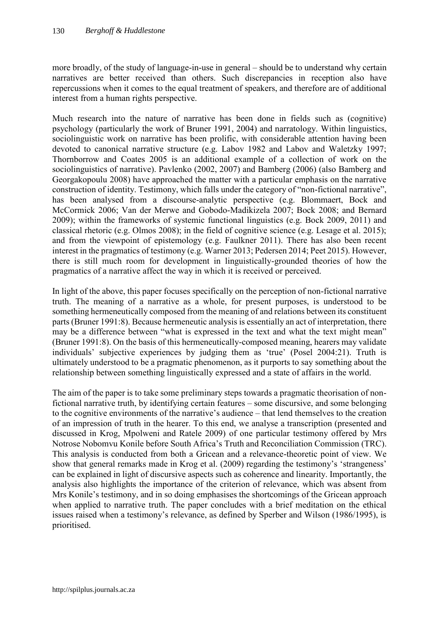more broadly, of the study of language-in-use in general – should be to understand why certain narratives are better received than others. Such discrepancies in reception also have repercussions when it comes to the equal treatment of speakers, and therefore are of additional interest from a human rights perspective.

Much research into the nature of narrative has been done in fields such as (cognitive) psychology (particularly the work of Bruner 1991, 2004) and narratology. Within linguistics, sociolinguistic work on narrative has been prolific, with considerable attention having been devoted to canonical narrative structure (e.g. Labov 1982 and Labov and Waletzky 1997; Thornborrow and Coates 2005 is an additional example of a collection of work on the sociolinguistics of narrative). Pavlenko (2002, 2007) and Bamberg (2006) (also Bamberg and Georgakopoulu 2008) have approached the matter with a particular emphasis on the narrative construction of identity. Testimony, which falls under the category of "non-fictional narrative", has been analysed from a discourse-analytic perspective (e.g. Blommaert, Bock and McCormick 2006; Van der Merwe and Gobodo-Madikizela 2007; Bock 2008; and Bernard 2009); within the frameworks of systemic functional linguistics (e.g. Bock 2009, 2011) and classical rhetoric (e.g. Olmos 2008); in the field of cognitive science (e.g. Lesage et al. 2015); and from the viewpoint of epistemology (e.g. Faulkner 2011). There has also been recent interest in the pragmatics of testimony (e.g. Warner 2013; Pedersen 2014; Peet 2015). However, there is still much room for development in linguistically-grounded theories of how the pragmatics of a narrative affect the way in which it is received or perceived.

In light of the above, this paper focuses specifically on the perception of non-fictional narrative truth. The meaning of a narrative as a whole, for present purposes, is understood to be something hermeneutically composed from the meaning of and relations between its constituent parts (Bruner 1991:8). Because hermeneutic analysis is essentially an act of interpretation, there may be a difference between "what is expressed in the text and what the text might mean" (Bruner 1991:8). On the basis of this hermeneutically-composed meaning, hearers may validate individuals' subjective experiences by judging them as 'true' (Posel 2004:21). Truth is ultimately understood to be a pragmatic phenomenon, as it purports to say something about the relationship between something linguistically expressed and a state of affairs in the world.

The aim of the paper is to take some preliminary steps towards a pragmatic theorisation of nonfictional narrative truth, by identifying certain features – some discursive, and some belonging to the cognitive environments of the narrative's audience – that lend themselves to the creation of an impression of truth in the hearer. To this end, we analyse a transcription (presented and discussed in Krog, Mpolweni and Ratele 2009) of one particular testimony offered by Mrs Notrose Nobomvu Konile before South Africa's Truth and Reconciliation Commission (TRC). This analysis is conducted from both a Gricean and a relevance-theoretic point of view. We show that general remarks made in Krog et al. (2009) regarding the testimony's 'strangeness' can be explained in light of discursive aspects such as coherence and linearity. Importantly, the analysis also highlights the importance of the criterion of relevance, which was absent from Mrs Konile's testimony, and in so doing emphasises the shortcomings of the Gricean approach when applied to narrative truth. The paper concludes with a brief meditation on the ethical issues raised when a testimony's relevance, as defined by Sperber and Wilson (1986/1995), is prioritised.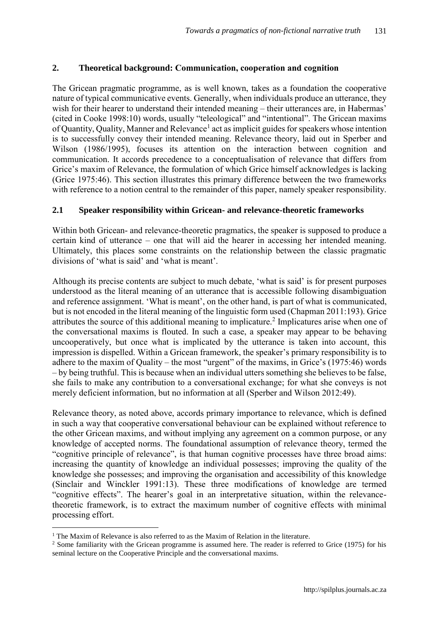### **2. Theoretical background: Communication, cooperation and cognition**

The Gricean pragmatic programme, as is well known, takes as a foundation the cooperative nature of typical communicative events. Generally, when individuals produce an utterance, they wish for their hearer to understand their intended meaning – their utterances are, in Habermas' (cited in Cooke 1998:10) words, usually "teleological" and "intentional". The Gricean maxims of Quantity, Quality, Manner and Relevance<sup>1</sup> act as implicit guides for speakers whose intention is to successfully convey their intended meaning. Relevance theory, laid out in Sperber and Wilson (1986/1995), focuses its attention on the interaction between cognition and communication. It accords precedence to a conceptualisation of relevance that differs from Grice's maxim of Relevance, the formulation of which Grice himself acknowledges is lacking (Grice 1975:46). This section illustrates this primary difference between the two frameworks with reference to a notion central to the remainder of this paper, namely speaker responsibility.

### **2.1 Speaker responsibility within Gricean- and relevance-theoretic frameworks**

Within both Gricean- and relevance-theoretic pragmatics, the speaker is supposed to produce a certain kind of utterance – one that will aid the hearer in accessing her intended meaning. Ultimately, this places some constraints on the relationship between the classic pragmatic divisions of 'what is said' and 'what is meant'.

Although its precise contents are subject to much debate, 'what is said' is for present purposes understood as the literal meaning of an utterance that is accessible following disambiguation and reference assignment. 'What is meant', on the other hand, is part of what is communicated, but is not encoded in the literal meaning of the linguistic form used (Chapman 2011:193). Grice attributes the source of this additional meaning to implicature.<sup>2</sup> Implicatures arise when one of the conversational maxims is flouted. In such a case, a speaker may appear to be behaving uncooperatively, but once what is implicated by the utterance is taken into account, this impression is dispelled. Within a Gricean framework, the speaker's primary responsibility is to adhere to the maxim of Quality – the most "urgent" of the maxims, in Grice's (1975:46) words – by being truthful. This is because when an individual utters something she believes to be false, she fails to make any contribution to a conversational exchange; for what she conveys is not merely deficient information, but no information at all (Sperber and Wilson 2012:49).

Relevance theory, as noted above, accords primary importance to relevance, which is defined in such a way that cooperative conversational behaviour can be explained without reference to the other Gricean maxims, and without implying any agreement on a common purpose, or any knowledge of accepted norms. The foundational assumption of relevance theory, termed the "cognitive principle of relevance", is that human cognitive processes have three broad aims: increasing the quantity of knowledge an individual possesses; improving the quality of the knowledge she possesses; and improving the organisation and accessibility of this knowledge (Sinclair and Winckler 1991:13). These three modifications of knowledge are termed "cognitive effects". The hearer's goal in an interpretative situation, within the relevancetheoretic framework, is to extract the maximum number of cognitive effects with minimal processing effort.

 $\overline{a}$ 

<sup>&</sup>lt;sup>1</sup> The Maxim of Relevance is also referred to as the Maxim of Relation in the literature.

<sup>&</sup>lt;sup>2</sup> Some familiarity with the Gricean programme is assumed here. The reader is referred to Grice (1975) for his seminal lecture on the Cooperative Principle and the conversational maxims.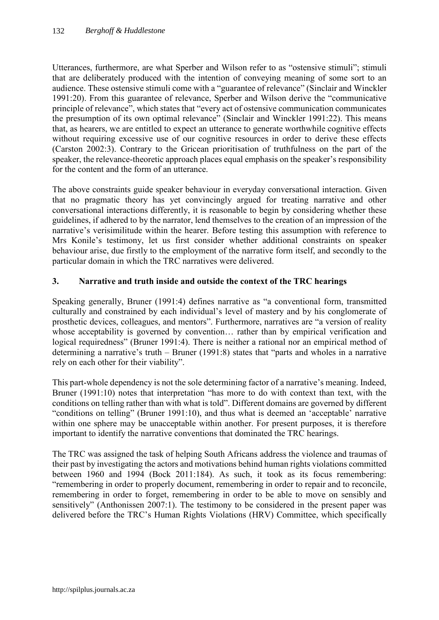Utterances, furthermore, are what Sperber and Wilson refer to as "ostensive stimuli"; stimuli that are deliberately produced with the intention of conveying meaning of some sort to an audience. These ostensive stimuli come with a "guarantee of relevance" (Sinclair and Winckler 1991:20). From this guarantee of relevance, Sperber and Wilson derive the "communicative principle of relevance", which states that "every act of ostensive communication communicates the presumption of its own optimal relevance" (Sinclair and Winckler 1991:22). This means that, as hearers, we are entitled to expect an utterance to generate worthwhile cognitive effects without requiring excessive use of our cognitive resources in order to derive these effects (Carston 2002:3). Contrary to the Gricean prioritisation of truthfulness on the part of the speaker, the relevance-theoretic approach places equal emphasis on the speaker's responsibility for the content and the form of an utterance.

The above constraints guide speaker behaviour in everyday conversational interaction. Given that no pragmatic theory has yet convincingly argued for treating narrative and other conversational interactions differently, it is reasonable to begin by considering whether these guidelines, if adhered to by the narrator, lend themselves to the creation of an impression of the narrative's verisimilitude within the hearer. Before testing this assumption with reference to Mrs Konile's testimony, let us first consider whether additional constraints on speaker behaviour arise, due firstly to the employment of the narrative form itself, and secondly to the particular domain in which the TRC narratives were delivered.

### **3. Narrative and truth inside and outside the context of the TRC hearings**

Speaking generally, Bruner (1991:4) defines narrative as "a conventional form, transmitted culturally and constrained by each individual's level of mastery and by his conglomerate of prosthetic devices, colleagues, and mentors". Furthermore, narratives are "a version of reality whose acceptability is governed by convention... rather than by empirical verification and logical requiredness" (Bruner 1991:4). There is neither a rational nor an empirical method of determining a narrative's truth – Bruner (1991:8) states that "parts and wholes in a narrative rely on each other for their viability".

This part-whole dependency is not the sole determining factor of a narrative's meaning. Indeed, Bruner (1991:10) notes that interpretation "has more to do with context than text, with the conditions on telling rather than with what is told". Different domains are governed by different "conditions on telling" (Bruner 1991:10), and thus what is deemed an 'acceptable' narrative within one sphere may be unacceptable within another. For present purposes, it is therefore important to identify the narrative conventions that dominated the TRC hearings.

The TRC was assigned the task of helping South Africans address the violence and traumas of their past by investigating the actors and motivations behind human rights violations committed between 1960 and 1994 (Bock 2011:184). As such, it took as its focus remembering: "remembering in order to properly document, remembering in order to repair and to reconcile, remembering in order to forget, remembering in order to be able to move on sensibly and sensitively" (Anthonissen 2007:1). The testimony to be considered in the present paper was delivered before the TRC's Human Rights Violations (HRV) Committee, which specifically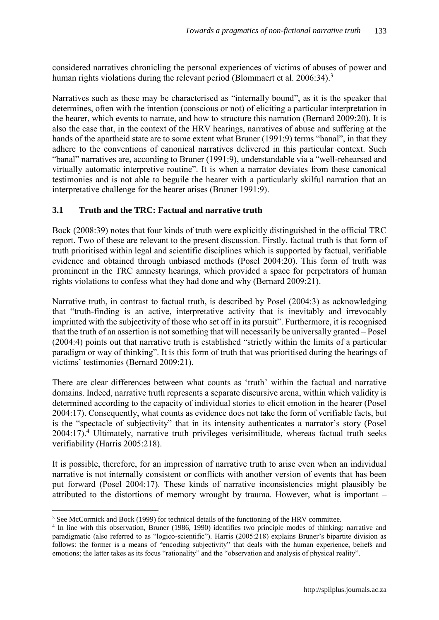considered narratives chronicling the personal experiences of victims of abuses of power and human rights violations during the relevant period (Blommaert et al. 2006:34).<sup>3</sup>

Narratives such as these may be characterised as "internally bound", as it is the speaker that determines, often with the intention (conscious or not) of eliciting a particular interpretation in the hearer, which events to narrate, and how to structure this narration (Bernard 2009:20). It is also the case that, in the context of the HRV hearings, narratives of abuse and suffering at the hands of the apartheid state are to some extent what Bruner (1991:9) terms "banal", in that they adhere to the conventions of canonical narratives delivered in this particular context. Such "banal" narratives are, according to Bruner (1991:9), understandable via a "well-rehearsed and virtually automatic interpretive routine". It is when a narrator deviates from these canonical testimonies and is not able to beguile the hearer with a particularly skilful narration that an interpretative challenge for the hearer arises (Bruner 1991:9).

# **3.1 Truth and the TRC: Factual and narrative truth**

Bock (2008:39) notes that four kinds of truth were explicitly distinguished in the official TRC report. Two of these are relevant to the present discussion. Firstly, factual truth is that form of truth prioritised within legal and scientific disciplines which is supported by factual, verifiable evidence and obtained through unbiased methods (Posel 2004:20). This form of truth was prominent in the TRC amnesty hearings, which provided a space for perpetrators of human rights violations to confess what they had done and why (Bernard 2009:21).

Narrative truth, in contrast to factual truth, is described by Posel (2004:3) as acknowledging that "truth-finding is an active, interpretative activity that is inevitably and irrevocably imprinted with the subjectivity of those who set off in its pursuit". Furthermore, it is recognised that the truth of an assertion is not something that will necessarily be universally granted – Posel (2004:4) points out that narrative truth is established "strictly within the limits of a particular paradigm or way of thinking". It is this form of truth that was prioritised during the hearings of victims' testimonies (Bernard 2009:21).

There are clear differences between what counts as 'truth' within the factual and narrative domains. Indeed, narrative truth represents a separate discursive arena, within which validity is determined according to the capacity of individual stories to elicit emotion in the hearer (Posel 2004:17). Consequently, what counts as evidence does not take the form of verifiable facts, but is the "spectacle of subjectivity" that in its intensity authenticates a narrator's story (Posel 2004:17).<sup>4</sup> Ultimately, narrative truth privileges verisimilitude, whereas factual truth seeks verifiability (Harris 2005:218).

It is possible, therefore, for an impression of narrative truth to arise even when an individual narrative is not internally consistent or conflicts with another version of events that has been put forward (Posel 2004:17). These kinds of narrative inconsistencies might plausibly be attributed to the distortions of memory wrought by trauma. However, what is important –

 $\overline{a}$ <sup>3</sup> See McCormick and Bock (1999) for technical details of the functioning of the HRV committee.

<sup>4</sup> In line with this observation, Bruner (1986, 1990) identifies two principle modes of thinking: narrative and paradigmatic (also referred to as "logico-scientific"). Harris (2005:218) explains Bruner's bipartite division as follows: the former is a means of "encoding subjectivity" that deals with the human experience, beliefs and emotions; the latter takes as its focus "rationality" and the "observation and analysis of physical reality".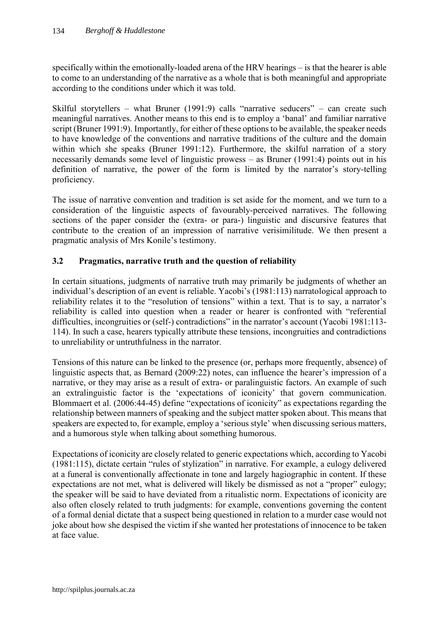specifically within the emotionally-loaded arena of the HRV hearings – is that the hearer is able to come to an understanding of the narrative as a whole that is both meaningful and appropriate according to the conditions under which it was told.

Skilful storytellers – what Bruner (1991:9) calls "narrative seducers" – can create such meaningful narratives. Another means to this end is to employ a 'banal' and familiar narrative script (Bruner 1991:9). Importantly, for either of these options to be available, the speaker needs to have knowledge of the conventions and narrative traditions of the culture and the domain within which she speaks (Bruner 1991:12). Furthermore, the skilful narration of a story necessarily demands some level of linguistic prowess – as Bruner (1991:4) points out in his definition of narrative, the power of the form is limited by the narrator's story-telling proficiency.

The issue of narrative convention and tradition is set aside for the moment, and we turn to a consideration of the linguistic aspects of favourably-perceived narratives. The following sections of the paper consider the (extra- or para-) linguistic and discursive features that contribute to the creation of an impression of narrative verisimilitude. We then present a pragmatic analysis of Mrs Konile's testimony.

# **3.2 Pragmatics, narrative truth and the question of reliability**

In certain situations, judgments of narrative truth may primarily be judgments of whether an individual's description of an event is reliable. Yacobi's (1981:113) narratological approach to reliability relates it to the "resolution of tensions" within a text. That is to say, a narrator's reliability is called into question when a reader or hearer is confronted with "referential difficulties, incongruities or (self-) contradictions" in the narrator's account (Yacobi 1981:113- 114). In such a case, hearers typically attribute these tensions, incongruities and contradictions to unreliability or untruthfulness in the narrator.

Tensions of this nature can be linked to the presence (or, perhaps more frequently, absence) of linguistic aspects that, as Bernard (2009:22) notes, can influence the hearer's impression of a narrative, or they may arise as a result of extra- or paralinguistic factors. An example of such an extralinguistic factor is the 'expectations of iconicity' that govern communication. Blommaert et al. (2006:44-45) define "expectations of iconicity" as expectations regarding the relationship between manners of speaking and the subject matter spoken about. This means that speakers are expected to, for example, employ a 'serious style' when discussing serious matters, and a humorous style when talking about something humorous.

Expectations of iconicity are closely related to generic expectations which, according to Yacobi (1981:115), dictate certain "rules of stylization" in narrative. For example, a eulogy delivered at a funeral is conventionally affectionate in tone and largely hagiographic in content. If these expectations are not met, what is delivered will likely be dismissed as not a "proper" eulogy; the speaker will be said to have deviated from a ritualistic norm. Expectations of iconicity are also often closely related to truth judgments: for example, conventions governing the content of a formal denial dictate that a suspect being questioned in relation to a murder case would not joke about how she despised the victim if she wanted her protestations of innocence to be taken at face value.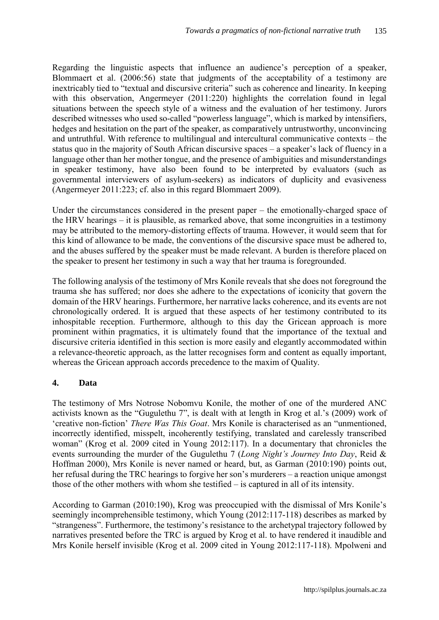Regarding the linguistic aspects that influence an audience's perception of a speaker, Blommaert et al. (2006:56) state that judgments of the acceptability of a testimony are inextricably tied to "textual and discursive criteria" such as coherence and linearity. In keeping with this observation, Angermeyer (2011:220) highlights the correlation found in legal situations between the speech style of a witness and the evaluation of her testimony. Jurors described witnesses who used so-called "powerless language", which is marked by intensifiers, hedges and hesitation on the part of the speaker, as comparatively untrustworthy, unconvincing and untruthful. With reference to multilingual and intercultural communicative contexts – the status quo in the majority of South African discursive spaces – a speaker's lack of fluency in a language other than her mother tongue, and the presence of ambiguities and misunderstandings in speaker testimony, have also been found to be interpreted by evaluators (such as governmental interviewers of asylum-seekers) as indicators of duplicity and evasiveness (Angermeyer 2011:223; cf. also in this regard Blommaert 2009).

Under the circumstances considered in the present paper – the emotionally-charged space of the HRV hearings – it is plausible, as remarked above, that some incongruities in a testimony may be attributed to the memory-distorting effects of trauma. However, it would seem that for this kind of allowance to be made, the conventions of the discursive space must be adhered to, and the abuses suffered by the speaker must be made relevant. A burden is therefore placed on the speaker to present her testimony in such a way that her trauma is foregrounded.

The following analysis of the testimony of Mrs Konile reveals that she does not foreground the trauma she has suffered; nor does she adhere to the expectations of iconicity that govern the domain of the HRV hearings. Furthermore, her narrative lacks coherence, and its events are not chronologically ordered. It is argued that these aspects of her testimony contributed to its inhospitable reception. Furthermore, although to this day the Gricean approach is more prominent within pragmatics, it is ultimately found that the importance of the textual and discursive criteria identified in this section is more easily and elegantly accommodated within a relevance-theoretic approach, as the latter recognises form and content as equally important, whereas the Gricean approach accords precedence to the maxim of Quality.

### **4. Data**

The testimony of Mrs Notrose Nobomvu Konile, the mother of one of the murdered ANC activists known as the "Gugulethu 7", is dealt with at length in Krog et al.'s (2009) work of 'creative non-fiction' *There Was This Goat*. Mrs Konile is characterised as an "unmentioned, incorrectly identified, misspelt, incoherently testifying, translated and carelessly transcribed woman" (Krog et al. 2009 cited in Young 2012:117). In a documentary that chronicles the events surrounding the murder of the Gugulethu 7 (*Long Night's Journey Into Day*, Reid & Hoffman 2000), Mrs Konile is never named or heard, but, as Garman (2010:190) points out, her refusal during the TRC hearings to forgive her son's murderers – a reaction unique amongst those of the other mothers with whom she testified – is captured in all of its intensity.

According to Garman (2010:190), Krog was preoccupied with the dismissal of Mrs Konile's seemingly incomprehensible testimony, which Young (2012:117-118) describes as marked by "strangeness". Furthermore, the testimony's resistance to the archetypal trajectory followed by narratives presented before the TRC is argued by Krog et al. to have rendered it inaudible and Mrs Konile herself invisible (Krog et al. 2009 cited in Young 2012:117-118). Mpolweni and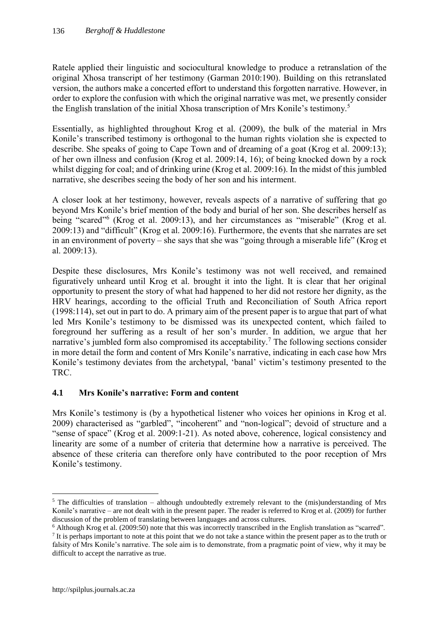Ratele applied their linguistic and sociocultural knowledge to produce a retranslation of the original Xhosa transcript of her testimony (Garman 2010:190). Building on this retranslated version, the authors make a concerted effort to understand this forgotten narrative. However, in order to explore the confusion with which the original narrative was met, we presently consider the English translation of the initial Xhosa transcription of Mrs Konile's testimony.<sup>5</sup>

Essentially, as highlighted throughout Krog et al. (2009), the bulk of the material in Mrs Konile's transcribed testimony is orthogonal to the human rights violation she is expected to describe. She speaks of going to Cape Town and of dreaming of a goat (Krog et al. 2009:13); of her own illness and confusion (Krog et al. 2009:14, 16); of being knocked down by a rock whilst digging for coal; and of drinking urine (Krog et al. 2009:16). In the midst of this jumbled narrative, she describes seeing the body of her son and his interment.

A closer look at her testimony, however, reveals aspects of a narrative of suffering that go beyond Mrs Konile's brief mention of the body and burial of her son. She describes herself as being "scared"<sup>6</sup> (Krog et al. 2009:13), and her circumstances as "miserable" (Krog et al. 2009:13) and "difficult" (Krog et al. 2009:16). Furthermore, the events that she narrates are set in an environment of poverty – she says that she was "going through a miserable life" (Krog et al. 2009:13).

Despite these disclosures, Mrs Konile's testimony was not well received, and remained figuratively unheard until Krog et al. brought it into the light. It is clear that her original opportunity to present the story of what had happened to her did not restore her dignity, as the HRV hearings, according to the official Truth and Reconciliation of South Africa report (1998:114), set out in part to do. A primary aim of the present paper is to argue that part of what led Mrs Konile's testimony to be dismissed was its unexpected content, which failed to foreground her suffering as a result of her son's murder. In addition, we argue that her narrative's jumbled form also compromised its acceptability.<sup>7</sup> The following sections consider in more detail the form and content of Mrs Konile's narrative, indicating in each case how Mrs Konile's testimony deviates from the archetypal, 'banal' victim's testimony presented to the TRC.

# **4.1 Mrs Konile's narrative: Form and content**

Mrs Konile's testimony is (by a hypothetical listener who voices her opinions in Krog et al. 2009) characterised as "garbled", "incoherent" and "non-logical"; devoid of structure and a "sense of space" (Krog et al. 2009:1-21). As noted above, coherence, logical consistency and linearity are some of a number of criteria that determine how a narrative is perceived. The absence of these criteria can therefore only have contributed to the poor reception of Mrs Konile's testimony.

 $\overline{a}$ 

 $5$  The difficulties of translation – although undoubtedly extremely relevant to the (mis)understanding of Mrs Konile's narrative – are not dealt with in the present paper. The reader is referred to Krog et al. (2009) for further discussion of the problem of translating between languages and across cultures.

<sup>6</sup> Although Krog et al. (2009:50) note that this was incorrectly transcribed in the English translation as "scarred".

If is perhaps important to note at this point that we do not take a stance within the present paper as to the truth or falsity of Mrs Konile's narrative. The sole aim is to demonstrate, from a pragmatic point of view, why it may be difficult to accept the narrative as true.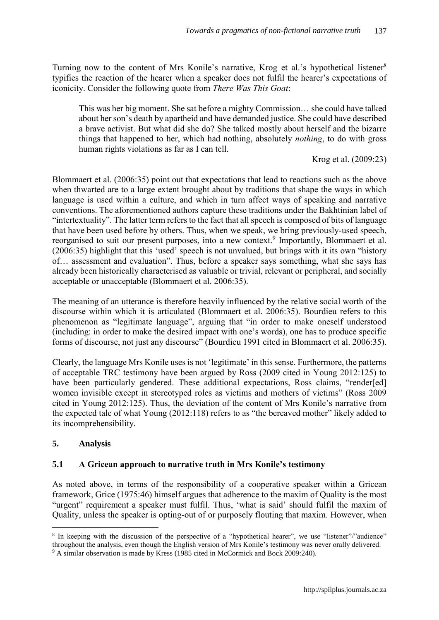Turning now to the content of Mrs Konile's narrative, Krog et al.'s hypothetical listener<sup>8</sup> typifies the reaction of the hearer when a speaker does not fulfil the hearer's expectations of iconicity. Consider the following quote from *There Was This Goat*:

This was her big moment. She sat before a mighty Commission… she could have talked about her son's death by apartheid and have demanded justice. She could have described a brave activist. But what did she do? She talked mostly about herself and the bizarre things that happened to her, which had nothing, absolutely *nothing*, to do with gross human rights violations as far as I can tell.

Krog et al. (2009:23)

Blommaert et al. (2006:35) point out that expectations that lead to reactions such as the above when thwarted are to a large extent brought about by traditions that shape the ways in which language is used within a culture, and which in turn affect ways of speaking and narrative conventions. The aforementioned authors capture these traditions under the Bakhtinian label of "intertextuality". The latter term refers to the fact that all speech is composed of bits of language that have been used before by others. Thus, when we speak, we bring previously-used speech, reorganised to suit our present purposes, into a new context.<sup>9</sup> Importantly, Blommaert et al. (2006:35) highlight that this 'used' speech is not unvalued, but brings with it its own "history of… assessment and evaluation". Thus, before a speaker says something, what she says has already been historically characterised as valuable or trivial, relevant or peripheral, and socially acceptable or unacceptable (Blommaert et al. 2006:35).

The meaning of an utterance is therefore heavily influenced by the relative social worth of the discourse within which it is articulated (Blommaert et al. 2006:35). Bourdieu refers to this phenomenon as "legitimate language", arguing that "in order to make oneself understood (including: in order to make the desired impact with one's words), one has to produce specific forms of discourse, not just any discourse" (Bourdieu 1991 cited in Blommaert et al. 2006:35).

Clearly, the language Mrs Konile uses is not 'legitimate' in this sense. Furthermore, the patterns of acceptable TRC testimony have been argued by Ross (2009 cited in Young 2012:125) to have been particularly gendered. These additional expectations, Ross claims, "render[ed] women invisible except in stereotyped roles as victims and mothers of victims" (Ross 2009 cited in Young 2012:125). Thus, the deviation of the content of Mrs Konile's narrative from the expected tale of what Young (2012:118) refers to as "the bereaved mother" likely added to its incomprehensibility.

### **5. Analysis**

 $\overline{a}$ 

### **5.1 A Gricean approach to narrative truth in Mrs Konile's testimony**

As noted above, in terms of the responsibility of a cooperative speaker within a Gricean framework, Grice (1975:46) himself argues that adherence to the maxim of Quality is the most "urgent" requirement a speaker must fulfil. Thus, 'what is said' should fulfil the maxim of Quality, unless the speaker is opting-out of or purposely flouting that maxim. However, when

<sup>&</sup>lt;sup>8</sup> In keeping with the discussion of the perspective of a "hypothetical hearer", we use "listener"/"audience" throughout the analysis, even though the English version of Mrs Konile's testimony was never orally delivered.

<sup>9</sup> A similar observation is made by Kress (1985 cited in McCormick and Bock 2009:240).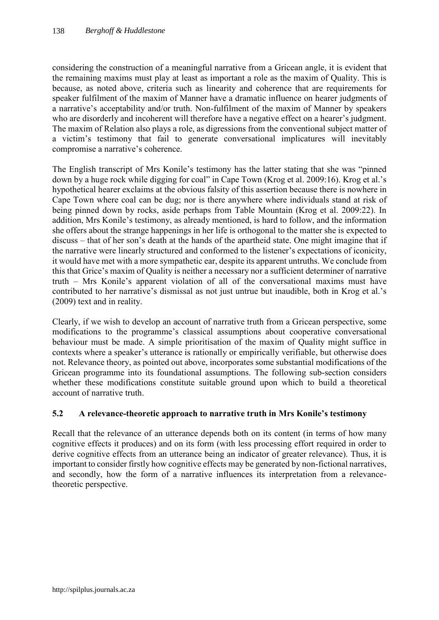considering the construction of a meaningful narrative from a Gricean angle, it is evident that the remaining maxims must play at least as important a role as the maxim of Quality. This is because, as noted above, criteria such as linearity and coherence that are requirements for speaker fulfilment of the maxim of Manner have a dramatic influence on hearer judgments of a narrative's acceptability and/or truth. Non-fulfilment of the maxim of Manner by speakers who are disorderly and incoherent will therefore have a negative effect on a hearer's judgment. The maxim of Relation also plays a role, as digressions from the conventional subject matter of a victim's testimony that fail to generate conversational implicatures will inevitably compromise a narrative's coherence.

The English transcript of Mrs Konile's testimony has the latter stating that she was "pinned down by a huge rock while digging for coal" in Cape Town (Krog et al. 2009:16). Krog et al.'s hypothetical hearer exclaims at the obvious falsity of this assertion because there is nowhere in Cape Town where coal can be dug; nor is there anywhere where individuals stand at risk of being pinned down by rocks, aside perhaps from Table Mountain (Krog et al. 2009:22). In addition, Mrs Konile's testimony, as already mentioned, is hard to follow, and the information she offers about the strange happenings in her life is orthogonal to the matter she is expected to discuss – that of her son's death at the hands of the apartheid state. One might imagine that if the narrative were linearly structured and conformed to the listener's expectations of iconicity, it would have met with a more sympathetic ear, despite its apparent untruths. We conclude from this that Grice's maxim of Quality is neither a necessary nor a sufficient determiner of narrative truth – Mrs Konile's apparent violation of all of the conversational maxims must have contributed to her narrative's dismissal as not just untrue but inaudible, both in Krog et al.'s (2009) text and in reality.

Clearly, if we wish to develop an account of narrative truth from a Gricean perspective, some modifications to the programme's classical assumptions about cooperative conversational behaviour must be made. A simple prioritisation of the maxim of Quality might suffice in contexts where a speaker's utterance is rationally or empirically verifiable, but otherwise does not. Relevance theory, as pointed out above, incorporates some substantial modifications of the Gricean programme into its foundational assumptions. The following sub-section considers whether these modifications constitute suitable ground upon which to build a theoretical account of narrative truth.

### **5.2 A relevance-theoretic approach to narrative truth in Mrs Konile's testimony**

Recall that the relevance of an utterance depends both on its content (in terms of how many cognitive effects it produces) and on its form (with less processing effort required in order to derive cognitive effects from an utterance being an indicator of greater relevance). Thus, it is important to consider firstly how cognitive effects may be generated by non-fictional narratives, and secondly, how the form of a narrative influences its interpretation from a relevancetheoretic perspective.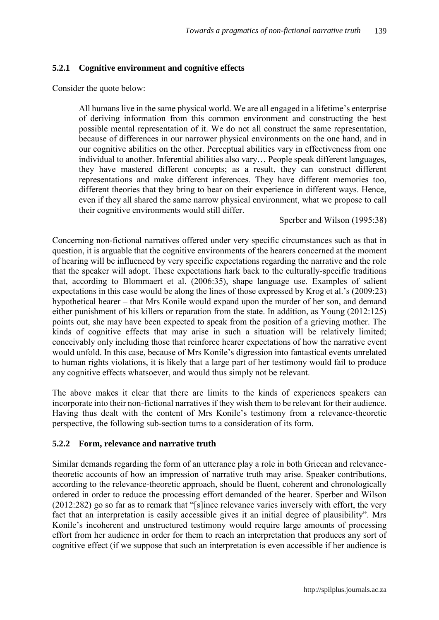### **5.2.1 Cognitive environment and cognitive effects**

Consider the quote below:

All humans live in the same physical world. We are all engaged in a lifetime's enterprise of deriving information from this common environment and constructing the best possible mental representation of it. We do not all construct the same representation, because of differences in our narrower physical environments on the one hand, and in our cognitive abilities on the other. Perceptual abilities vary in effectiveness from one individual to another. Inferential abilities also vary… People speak different languages, they have mastered different concepts; as a result, they can construct different representations and make different inferences. They have different memories too, different theories that they bring to bear on their experience in different ways. Hence, even if they all shared the same narrow physical environment, what we propose to call their cognitive environments would still differ.

Sperber and Wilson (1995:38)

Concerning non-fictional narratives offered under very specific circumstances such as that in question, it is arguable that the cognitive environments of the hearers concerned at the moment of hearing will be influenced by very specific expectations regarding the narrative and the role that the speaker will adopt. These expectations hark back to the culturally-specific traditions that, according to Blommaert et al. (2006:35), shape language use. Examples of salient expectations in this case would be along the lines of those expressed by Krog et al.'s (2009:23) hypothetical hearer – that Mrs Konile would expand upon the murder of her son, and demand either punishment of his killers or reparation from the state. In addition, as Young (2012:125) points out, she may have been expected to speak from the position of a grieving mother. The kinds of cognitive effects that may arise in such a situation will be relatively limited; conceivably only including those that reinforce hearer expectations of how the narrative event would unfold. In this case, because of Mrs Konile's digression into fantastical events unrelated to human rights violations, it is likely that a large part of her testimony would fail to produce any cognitive effects whatsoever, and would thus simply not be relevant.

The above makes it clear that there are limits to the kinds of experiences speakers can incorporate into their non-fictional narratives if they wish them to be relevant for their audience. Having thus dealt with the content of Mrs Konile's testimony from a relevance-theoretic perspective, the following sub-section turns to a consideration of its form.

#### **5.2.2 Form, relevance and narrative truth**

Similar demands regarding the form of an utterance play a role in both Gricean and relevancetheoretic accounts of how an impression of narrative truth may arise. Speaker contributions, according to the relevance-theoretic approach, should be fluent, coherent and chronologically ordered in order to reduce the processing effort demanded of the hearer. Sperber and Wilson (2012:282) go so far as to remark that "[s]ince relevance varies inversely with effort, the very fact that an interpretation is easily accessible gives it an initial degree of plausibility". Mrs Konile's incoherent and unstructured testimony would require large amounts of processing effort from her audience in order for them to reach an interpretation that produces any sort of cognitive effect (if we suppose that such an interpretation is even accessible if her audience is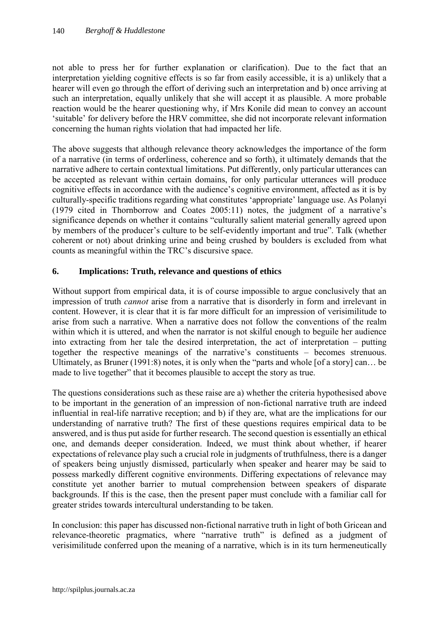not able to press her for further explanation or clarification). Due to the fact that an interpretation yielding cognitive effects is so far from easily accessible, it is a) unlikely that a hearer will even go through the effort of deriving such an interpretation and b) once arriving at such an interpretation, equally unlikely that she will accept it as plausible. A more probable reaction would be the hearer questioning why, if Mrs Konile did mean to convey an account 'suitable' for delivery before the HRV committee, she did not incorporate relevant information concerning the human rights violation that had impacted her life.

The above suggests that although relevance theory acknowledges the importance of the form of a narrative (in terms of orderliness, coherence and so forth), it ultimately demands that the narrative adhere to certain contextual limitations. Put differently, only particular utterances can be accepted as relevant within certain domains, for only particular utterances will produce cognitive effects in accordance with the audience's cognitive environment, affected as it is by culturally-specific traditions regarding what constitutes 'appropriate' language use. As Polanyi (1979 cited in Thornborrow and Coates 2005:11) notes, the judgment of a narrative's significance depends on whether it contains "culturally salient material generally agreed upon by members of the producer's culture to be self-evidently important and true". Talk (whether coherent or not) about drinking urine and being crushed by boulders is excluded from what counts as meaningful within the TRC's discursive space.

### **6. Implications: Truth, relevance and questions of ethics**

Without support from empirical data, it is of course impossible to argue conclusively that an impression of truth *cannot* arise from a narrative that is disorderly in form and irrelevant in content. However, it is clear that it is far more difficult for an impression of verisimilitude to arise from such a narrative. When a narrative does not follow the conventions of the realm within which it is uttered, and when the narrator is not skilful enough to beguile her audience into extracting from her tale the desired interpretation, the act of interpretation – putting together the respective meanings of the narrative's constituents – becomes strenuous. Ultimately, as Bruner (1991:8) notes, it is only when the "parts and whole [of a story] can… be made to live together" that it becomes plausible to accept the story as true.

The questions considerations such as these raise are a) whether the criteria hypothesised above to be important in the generation of an impression of non-fictional narrative truth are indeed influential in real-life narrative reception; and b) if they are, what are the implications for our understanding of narrative truth? The first of these questions requires empirical data to be answered, and is thus put aside for further research. The second question is essentially an ethical one, and demands deeper consideration. Indeed, we must think about whether, if hearer expectations of relevance play such a crucial role in judgments of truthfulness, there is a danger of speakers being unjustly dismissed, particularly when speaker and hearer may be said to possess markedly different cognitive environments. Differing expectations of relevance may constitute yet another barrier to mutual comprehension between speakers of disparate backgrounds. If this is the case, then the present paper must conclude with a familiar call for greater strides towards intercultural understanding to be taken.

In conclusion: this paper has discussed non-fictional narrative truth in light of both Gricean and relevance-theoretic pragmatics, where "narrative truth" is defined as a judgment of verisimilitude conferred upon the meaning of a narrative, which is in its turn hermeneutically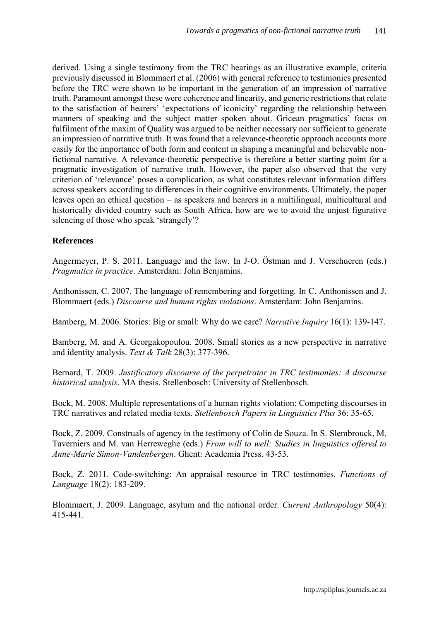derived. Using a single testimony from the TRC hearings as an illustrative example, criteria previously discussed in Blommaert et al. (2006) with general reference to testimonies presented before the TRC were shown to be important in the generation of an impression of narrative truth. Paramount amongst these were coherence and linearity, and generic restrictions that relate to the satisfaction of hearers' 'expectations of iconicity' regarding the relationship between manners of speaking and the subject matter spoken about. Gricean pragmatics' focus on fulfilment of the maxim of Quality was argued to be neither necessary nor sufficient to generate an impression of narrative truth. It was found that a relevance-theoretic approach accounts more easily for the importance of both form and content in shaping a meaningful and believable nonfictional narrative. A relevance-theoretic perspective is therefore a better starting point for a pragmatic investigation of narrative truth. However, the paper also observed that the very criterion of 'relevance' poses a complication, as what constitutes relevant information differs across speakers according to differences in their cognitive environments. Ultimately, the paper leaves open an ethical question – as speakers and hearers in a multilingual, multicultural and historically divided country such as South Africa, how are we to avoid the unjust figurative silencing of those who speak 'strangely'?

### **References**

Angermeyer, P. S. 2011. Language and the law. In J-O. Östman and J. Verschueren (eds.) *Pragmatics in practice*. Amsterdam: John Benjamins.

Anthonissen, C. 2007. The language of remembering and forgetting. In C. Anthonissen and J. Blommaert (eds.) *Discourse and human rights violations*. Amsterdam: John Benjamins.

Bamberg, M. 2006. Stories: Big or small: Why do we care? *Narrative Inquiry* 16(1): 139-147.

Bamberg, M. and A. Georgakopoulou. 2008. Small stories as a new perspective in narrative and identity analysis. *Text & Talk* 28(3): 377-396.

Bernard, T. 2009. *Justificatory discourse of the perpetrator in TRC testimonies: A discourse historical analysis*. MA thesis. Stellenbosch: University of Stellenbosch.

Bock, M. 2008. Multiple representations of a human rights violation: Competing discourses in TRC narratives and related media texts. *Stellenbosch Papers in Linguistics Plus* 36: 35-65.

Bock, Z. 2009. Construals of agency in the testimony of Colin de Souza. In S. Slembrouck, M. Taverniers and M. van Herreweghe (eds.) *From will to well: Studies in linguistics offered to Anne-Marie Simon-Vandenbergen*. Ghent: Academia Press. 43-53.

Bock, Z. 2011. Code-switching: An appraisal resource in TRC testimonies. *Functions of Language* 18(2): 183-209.

Blommaert, J. 2009. Language, asylum and the national order. *Current Anthropology* 50(4): 415-441.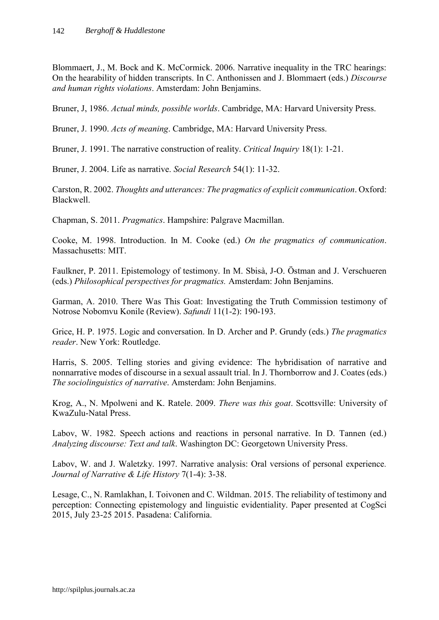Blommaert, J., M. Bock and K. McCormick. 2006. Narrative inequality in the TRC hearings: On the hearability of hidden transcripts. In C. Anthonissen and J. Blommaert (eds.) *Discourse and human rights violations*. Amsterdam: John Benjamins.

Bruner, J, 1986. *Actual minds, possible worlds*. Cambridge, MA: Harvard University Press.

Bruner, J. 1990. *Acts of meaning*. Cambridge, MA: Harvard University Press.

Bruner, J. 1991. The narrative construction of reality. *Critical Inquiry* 18(1): 1-21.

Bruner, J. 2004. Life as narrative. *Social Research* 54(1): 11-32.

Carston, R. 2002. *Thoughts and utterances: The pragmatics of explicit communication*. Oxford: Blackwell.

Chapman, S. 2011. *Pragmatics*. Hampshire: Palgrave Macmillan.

Cooke, M. 1998. Introduction. In M. Cooke (ed.) *On the pragmatics of communication*. Massachusetts: MIT.

Faulkner, P. 2011. Epistemology of testimony. In M. Sbisà, J-O. Östman and J. Verschueren (eds.) *Philosophical perspectives for pragmatics.* Amsterdam: John Benjamins.

Garman, A. 2010. There Was This Goat: Investigating the Truth Commission testimony of Notrose Nobomvu Konile (Review). *Safundi* 11(1-2): 190-193.

Grice, H. P. 1975. Logic and conversation. In D. Archer and P. Grundy (eds.) *The pragmatics reader*. New York: Routledge.

Harris, S. 2005. Telling stories and giving evidence: The hybridisation of narrative and nonnarrative modes of discourse in a sexual assault trial. In J. Thornborrow and J. Coates (eds.) *The sociolinguistics of narrative*. Amsterdam: John Benjamins.

Krog, A., N. Mpolweni and K. Ratele. 2009. *There was this goat*. Scottsville: University of KwaZulu-Natal Press.

Labov, W. 1982. Speech actions and reactions in personal narrative. In D. Tannen (ed.) *Analyzing discourse: Text and talk*. Washington DC: Georgetown University Press.

Labov, W. and J. Waletzky. 1997. Narrative analysis: Oral versions of personal experience*. Journal of Narrative & Life History* 7(1-4): 3-38.

Lesage, C., N. Ramlakhan, I. Toivonen and C. Wildman. 2015. The reliability of testimony and perception: Connecting epistemology and linguistic evidentiality. Paper presented at CogSci 2015, July 23-25 2015. Pasadena: California.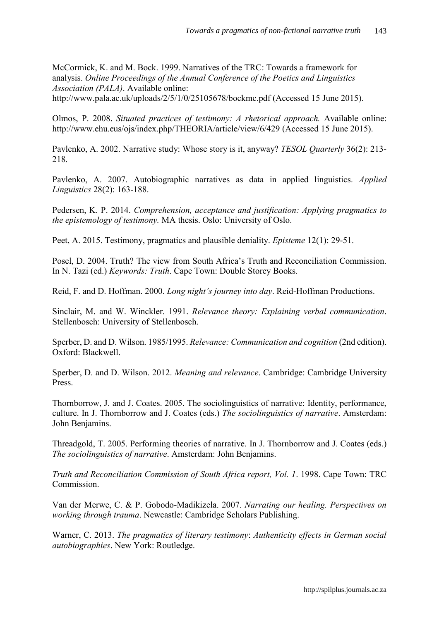McCormick, K. and M. Bock. 1999. Narratives of the TRC: Towards a framework for analysis. *Online Proceedings of the Annual Conference of the Poetics and Linguistics Association (PALA)*. Available online: http://www.pala.ac.uk/uploads/2/5/1/0/25105678/bockmc.pdf (Accessed 15 June 2015).

Olmos, P. 2008. *Situated practices of testimony: A rhetorical approach.* Available online: http://www.ehu.eus/ojs/index.php/THEORIA/article/view/6/429 (Accessed 15 June 2015).

Pavlenko, A. 2002. Narrative study: Whose story is it, anyway? *TESOL Quarterly* 36(2): 213- 218.

Pavlenko, A. 2007. Autobiographic narratives as data in applied linguistics. *Applied Linguistics* 28(2): 163-188.

Pedersen, K. P. 2014. *Comprehension, acceptance and justification: Applying pragmatics to the epistemology of testimony.* MA thesis. Oslo: University of Oslo.

Peet, A. 2015. Testimony, pragmatics and plausible deniality. *Episteme* 12(1): 29-51.

Posel, D. 2004. Truth? The view from South Africa's Truth and Reconciliation Commission. In N. Tazi (ed.) *Keywords: Truth*. Cape Town: Double Storey Books.

Reid, F. and D. Hoffman. 2000. *Long night's journey into day*. Reid-Hoffman Productions.

Sinclair, M. and W. Winckler. 1991. *Relevance theory: Explaining verbal communication*. Stellenbosch: University of Stellenbosch.

Sperber, D. and D. Wilson. 1985/1995. *Relevance: Communication and cognition* (2nd edition). Oxford: Blackwell.

Sperber, D. and D. Wilson. 2012. *Meaning and relevance*. Cambridge: Cambridge University Press.

Thornborrow, J. and J. Coates. 2005. The sociolinguistics of narrative: Identity, performance, culture. In J. Thornborrow and J. Coates (eds.) *The sociolinguistics of narrative*. Amsterdam: John Benjamins.

Threadgold, T. 2005. Performing theories of narrative. In J. Thornborrow and J. Coates (eds.) *The sociolinguistics of narrative*. Amsterdam: John Benjamins.

*Truth and Reconciliation Commission of South Africa report, Vol. 1*. 1998. Cape Town: TRC Commission.

Van der Merwe, C. & P. Gobodo-Madikizela. 2007. *Narrating our healing. Perspectives on working through trauma*. Newcastle: Cambridge Scholars Publishing.

Warner, C. 2013. *The pragmatics of literary testimony*: *Authenticity effects in German social autobiographies*. New York: Routledge.